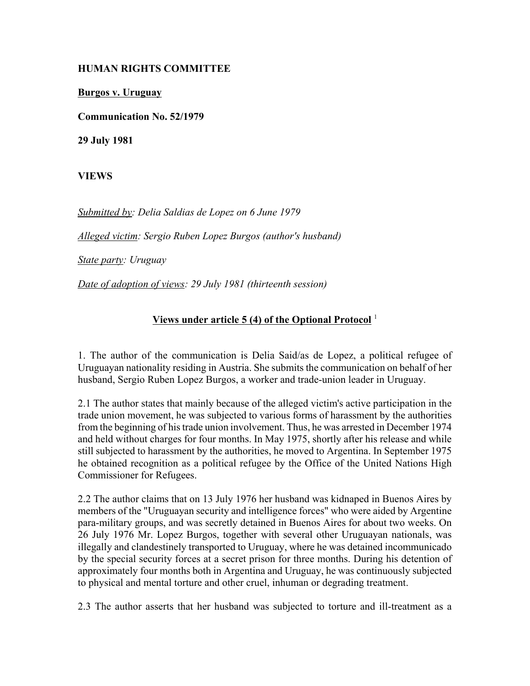## **HUMAN RIGHTS COMMITTEE**

**Burgos v. Uruguay**

**Communication No. 52/1979**

**29 July 1981**

**VIEWS**

*Submitted by: Delia Saldias de Lopez on 6 June 1979* 

*Alleged victim: Sergio Ruben Lopez Burgos (author's husband)* 

*State party: Uruguay* 

*Date of adoption of views: 29 July 1981 (thirteenth session)* 

## **Views under article 5 (4) of the Optional Protocol** <sup>1</sup>

1. The author of the communication is Delia Said/as de Lopez, a political refugee of Uruguayan nationality residing in Austria. She submits the communication on behalf of her husband, Sergio Ruben Lopez Burgos, a worker and trade-union leader in Uruguay.

2.1 The author states that mainly because of the alleged victim's active participation in the trade union movement, he was subjected to various forms of harassment by the authorities from the beginning of his trade union involvement. Thus, he was arrested in December 1974 and held without charges for four months. In May 1975, shortly after his release and while still subjected to harassment by the authorities, he moved to Argentina. In September 1975 he obtained recognition as a political refugee by the Office of the United Nations High Commissioner for Refugees.

2.2 The author claims that on 13 July 1976 her husband was kidnaped in Buenos Aires by members of the "Uruguayan security and intelligence forces" who were aided by Argentine para-military groups, and was secretly detained in Buenos Aires for about two weeks. On 26 July 1976 Mr. Lopez Burgos, together with several other Uruguayan nationals, was illegally and clandestinely transported to Uruguay, where he was detained incommunicado by the special security forces at a secret prison for three months. During his detention of approximately four months both in Argentina and Uruguay, he was continuously subjected to physical and mental torture and other cruel, inhuman or degrading treatment.

2.3 The author asserts that her husband was subjected to torture and ill-treatment as a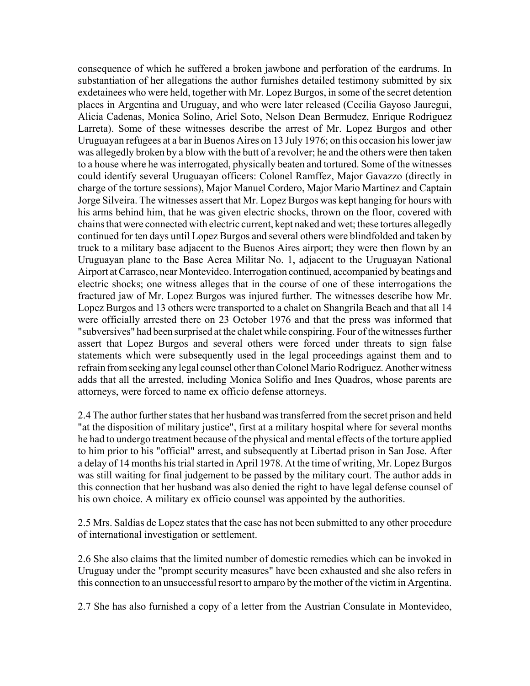consequence of which he suffered a broken jawbone and perforation of the eardrums. In substantiation of her allegations the author furnishes detailed testimony submitted by six exdetainees who were held, together with Mr. Lopez Burgos, in some of the secret detention places in Argentina and Uruguay, and who were later released (Cecilia Gayoso Jauregui, Alicia Cadenas, Monica Solino, Ariel Soto, Nelson Dean Bermudez, Enrique Rodriguez Larreta). Some of these witnesses describe the arrest of Mr. Lopez Burgos and other Uruguayan refugees at a bar in Buenos Aires on 13 July 1976; on this occasion his lower jaw was allegedly broken by a blow with the butt of a revolver; he and the others were then taken to a house where he was interrogated, physically beaten and tortured. Some of the witnesses could identify several Uruguayan officers: Colonel Ramffez, Major Gavazzo (directly in charge of the torture sessions), Major Manuel Cordero, Major Mario Martinez and Captain Jorge Silveira. The witnesses assert that Mr. Lopez Burgos was kept hanging for hours with his arms behind him, that he was given electric shocks, thrown on the floor, covered with chains that were connected with electric current, kept naked and wet; these tortures allegedly continued for ten days until Lopez Burgos and several others were blindfolded and taken by truck to a military base adjacent to the Buenos Aires airport; they were then flown by an Uruguayan plane to the Base Aerea Militar No. 1, adjacent to the Uruguayan National Airport at Carrasco, near Montevideo. Interrogation continued, accompanied by beatings and electric shocks; one witness alleges that in the course of one of these interrogations the fractured jaw of Mr. Lopez Burgos was injured further. The witnesses describe how Mr. Lopez Burgos and 13 others were transported to a chalet on Shangrila Beach and that all 14 were officially arrested there on 23 October 1976 and that the press was informed that "subversives" had been surprised at the chalet while conspiring. Four of the witnesses further assert that Lopez Burgos and several others were forced under threats to sign false statements which were subsequently used in the legal proceedings against them and to refrain from seeking any legal counsel other than Colonel Mario Rodriguez. Another witness adds that all the arrested, including Monica Solifio and Ines Quadros, whose parents are attorneys, were forced to name ex officio defense attorneys.

2.4 The author further states that her husband was transferred from the secret prison and held "at the disposition of military justice", first at a military hospital where for several months he had to undergo treatment because of the physical and mental effects of the torture applied to him prior to his "official" arrest, and subsequently at Libertad prison in San Jose. After a delay of 14 months his trial started in April 1978. At the time of writing, Mr. Lopez Burgos was still waiting for final judgement to be passed by the military court. The author adds in this connection that her husband was also denied the right to have legal defense counsel of his own choice. A military ex officio counsel was appointed by the authorities.

2.5 Mrs. Saldias de Lopez states that the case has not been submitted to any other procedure of international investigation or settlement.

2.6 She also claims that the limited number of domestic remedies which can be invoked in Uruguay under the "prompt security measures" have been exhausted and she also refers in this connection to an unsuccessful resort to arnparo by the mother of the victim in Argentina.

2.7 She has also furnished a copy of a letter from the Austrian Consulate in Montevideo,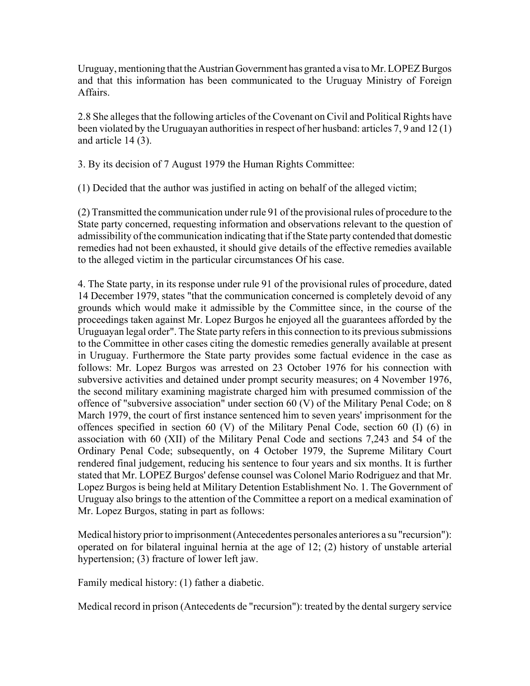Uruguay, mentioning that the Austrian Government has granted a visa to Mr. LOPEZ Burgos and that this information has been communicated to the Uruguay Ministry of Foreign Affairs.

2.8 She alleges that the following articles of the Covenant on Civil and Political Rights have been violated by the Uruguayan authorities in respect of her husband: articles 7, 9 and 12 (1) and article 14 (3).

3. By its decision of 7 August 1979 the Human Rights Committee:

(1) Decided that the author was justified in acting on behalf of the alleged victim;

(2) Transmitted the communication under rule 91 of the provisional rules of procedure to the State party concerned, requesting information and observations relevant to the question of admissibility of the communication indicating that if the State party contended that domestic remedies had not been exhausted, it should give details of the effective remedies available to the alleged victim in the particular circumstances Of his case.

4. The State party, in its response under rule 91 of the provisional rules of procedure, dated 14 December 1979, states "that the communication concerned is completely devoid of any grounds which would make it admissible by the Committee since, in the course of the proceedings taken against Mr. Lopez Burgos he enjoyed all the guarantees afforded by the Uruguayan legal order". The State party refers in this connection to its previous submissions to the Committee in other cases citing the domestic remedies generally available at present in Uruguay. Furthermore the State party provides some factual evidence in the case as follows: Mr. Lopez Burgos was arrested on 23 October 1976 for his connection with subversive activities and detained under prompt security measures; on 4 November 1976, the second military examining magistrate charged him with presumed commission of the offence of "subversive association" under section 60 (V) of the Military Penal Code; on 8 March 1979, the court of first instance sentenced him to seven years' imprisonment for the offences specified in section 60 (V) of the Military Penal Code, section 60 (I) (6) in association with 60 (XII) of the Military Penal Code and sections 7,243 and 54 of the Ordinary Penal Code; subsequently, on 4 October 1979, the Supreme Military Court rendered final judgement, reducing his sentence to four years and six months. It is further stated that Mr. LOPEZ Burgos' defense counsel was Colonel Mario Rodriguez and that Mr. Lopez Burgos is being held at Military Detention Establishment No. 1. The Government of Uruguay also brings to the attention of the Committee a report on a medical examination of Mr. Lopez Burgos, stating in part as follows:

Medical history prior to imprisonment (Antecedentes personales anteriores a su "recursion"): operated on for bilateral inguinal hernia at the age of 12; (2) history of unstable arterial hypertension; (3) fracture of lower left jaw.

Family medical history: (1) father a diabetic.

Medical record in prison (Antecedents de "recursion"): treated by the dental surgery service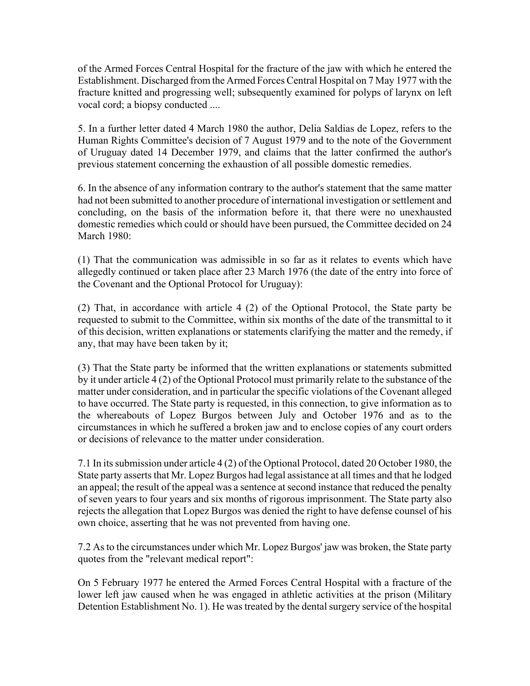of the Armed Forces Central Hospital for the fracture of the jaw with which he entered the Establishment. Discharged from the Armed Forces Central Hospital on 7 May 1977 with the fracture knitted and progressing well; subsequently examined for polyps of larynx on left vocal cord; a biopsy conducted ....

5. In a further letter dated 4 March 1980 the author, Delia Saldias de Lopez, refers to the Human Rights Committee's decision of 7 August 1979 and to the note of the Government of Uruguay dated 14 December 1979, and claims that the latter confirmed the author's previous statement concerning the exhaustion of all possible domestic remedies.

6. In the absence of any information contrary to the author's statement that the same matter had not been submitted to another procedure of international investigation or settlement and concluding, on the basis of the information before it, that there were no unexhausted domestic remedies which could or should have been pursued, the Committee decided on 24 March 1980:

(1) That the communication was admissible in so far as it relates to events which have allegedly continued or taken place after 23 March 1976 (the date of the entry into force of the Covenant and the Optional Protocol for Uruguay):

(2) That, in accordance with article 4 (2) of the Optional Protocol, the State party be requested to submit to the Committee, within six months of the date of the transmittal to it of this decision, written explanations or statements clarifying the matter and the remedy, if any, that may have been taken by it;

(3) That the State party be informed that the written explanations or statements submitted by it under article 4 (2) of the Optional Protocol must primarily relate to the substance of the matter under consideration, and in particular the specific violations of the Covenant alleged to have occurred. The State party is requested, in this connection, to give information as to the whereabouts of Lopez Burgos between July and October 1976 and as to the circumstances in which he suffered a broken jaw and to enclose copies of any court orders or decisions of relevance to the matter under consideration.

7.1 In its submission under article 4 (2) of the Optional Protocol, dated 20 October 1980, the State party asserts that Mr. Lopez Burgos had legal assistance at all times and that he lodged an appeal; the result of the appeal was a sentence at second instance that reduced the penalty of seven years to four years and six months of rigorous imprisonment. The State party also rejects the allegation that Lopez Burgos was denied the right to have defense counsel of his own choice, asserting that he was not prevented from having one.

7.2 As to the circumstances under which Mr. Lopez Burgos' jaw was broken, the State party quotes from the "relevant medical report":

On 5 February 1977 he entered the Armed Forces Central Hospital with a fracture of the lower left jaw caused when he was engaged in athletic activities at the prison (Military Detention Establishment No. 1). He was treated by the dental surgery service of the hospital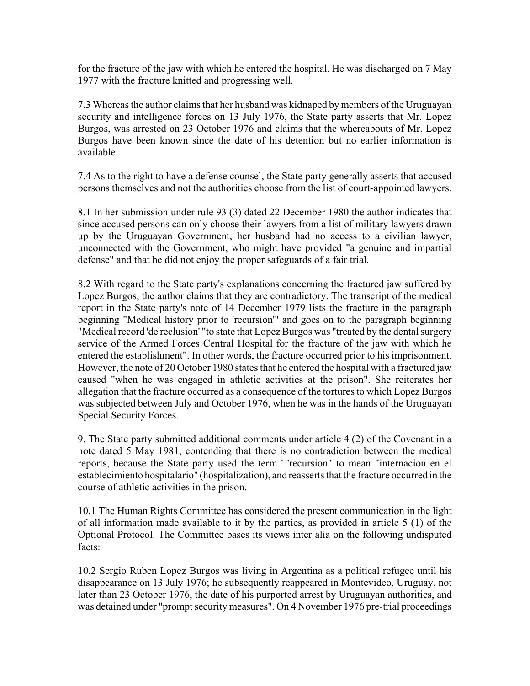for the fracture of the jaw with which he entered the hospital. He was discharged on 7 May 1977 with the fracture knitted and progressing well.

7.3 Whereas the author claims that her husband was kidnaped by members of the Uruguayan security and intelligence forces on 13 July 1976, the State party asserts that Mr. Lopez Burgos, was arrested on 23 October 1976 and claims that the whereabouts of Mr. Lopez Burgos have been known since the date of his detention but no earlier information is available.

7.4 As to the right to have a defense counsel, the State party generally asserts that accused persons themselves and not the authorities choose from the list of court-appointed lawyers.

8.1 In her submission under rule 93 (3) dated 22 December 1980 the author indicates that since accused persons can only choose their lawyers from a list of military lawyers drawn up by the Uruguayan Government, her husband had no access to a civilian lawyer, unconnected with the Government, who might have provided "a genuine and impartial defense" and that he did not enjoy the proper safeguards of a fair trial.

8.2 With regard to the State party's explanations concerning the fractured jaw suffered by Lopez Burgos, the author claims that they are contradictory. The transcript of the medical report in the State party's note of 14 December 1979 lists the fracture in the paragraph beginning "Medical history prior to 'recursion'" and goes on to the paragraph beginning "Medical record 'de reclusion' "to state that Lopez Burgos was "treated by the dental surgery service of the Armed Forces Central Hospital for the fracture of the jaw with which he entered the establishment". In other words, the fracture occurred prior to his imprisonment. However, the note of 20 October 1980 states that he entered the hospital with a fractured jaw caused "when he was engaged in athletic activities at the prison". She reiterates her allegation that the fracture occurred as a consequence of the tortures to which Lopez Burgos was subjected between July and October 1976, when he was in the hands of the Uruguayan Special Security Forces.

9. The State party submitted additional comments under article 4 (2) of the Covenant in a note dated 5 May 1981, contending that there is no contradiction between the medical reports, because the State party used the term ' 'recursion" to mean "internacion en el establecimiento hospitalario" (hospitalization), and reasserts that the fracture occurred in the course of athletic activities in the prison.

10.1 The Human Rights Committee has considered the present communication in the light of all information made available to it by the parties, as provided in article 5 (1) of the Optional Protocol. The Committee bases its views inter alia on the following undisputed facts:

10.2 Sergio Ruben Lopez Burgos was living in Argentina as a political refugee until his disappearance on 13 July 1976; he subsequently reappeared in Montevideo, Uruguay, not later than 23 October 1976, the date of his purported arrest by Uruguayan authorities, and was detained under "prompt security measures". On 4 November 1976 pre-trial proceedings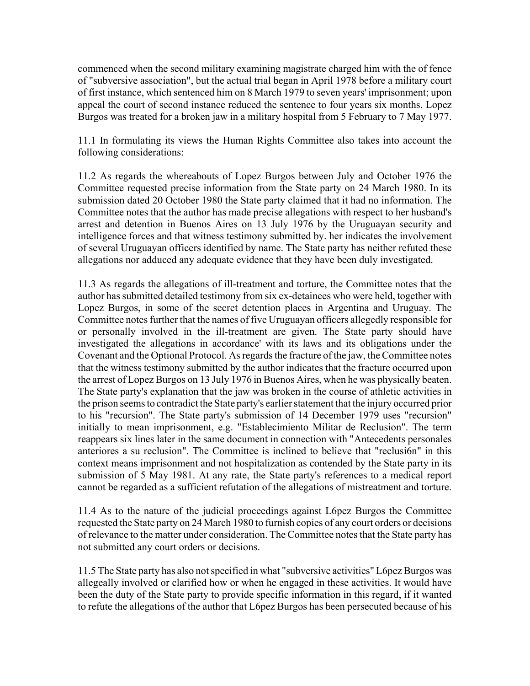commenced when the second military examining magistrate charged him with the of fence of "subversive association", but the actual trial began in April 1978 before a military court of first instance, which sentenced him on 8 March 1979 to seven years' imprisonment; upon appeal the court of second instance reduced the sentence to four years six months. Lopez Burgos was treated for a broken jaw in a military hospital from 5 February to 7 May 1977.

11.1 In formulating its views the Human Rights Committee also takes into account the following considerations:

11.2 As regards the whereabouts of Lopez Burgos between July and October 1976 the Committee requested precise information from the State party on 24 March 1980. In its submission dated 20 October 1980 the State party claimed that it had no information. The Committee notes that the author has made precise allegations with respect to her husband's arrest and detention in Buenos Aires on 13 July 1976 by the Uruguayan security and intelligence forces and that witness testimony submitted by. her indicates the involvement of several Uruguayan officers identified by name. The State party has neither refuted these allegations nor adduced any adequate evidence that they have been duly investigated.

11.3 As regards the allegations of ill-treatment and torture, the Committee notes that the author has submitted detailed testimony from six ex-detainees who were held, together with Lopez Burgos, in some of the secret detention places in Argentina and Uruguay. The Committee notes further that the names of five Uruguayan officers allegedly responsible for or personally involved in the ill-treatment are given. The State party should have investigated the allegations in accordance' with its laws and its obligations under the Covenant and the Optional Protocol. As regards the fracture of the jaw, the Committee notes that the witness testimony submitted by the author indicates that the fracture occurred upon the arrest of Lopez Burgos on 13 July 1976 in Buenos Aires, when he was physically beaten. The State party's explanation that the jaw was broken in the course of athletic activities in the prison seems to contradict the State party's earlier statement that the injury occurred prior to his "recursion". The State party's submission of 14 December 1979 uses "recursion" initially to mean imprisonment, e.g. "Establecimiento Militar de Reclusion". The term reappears six lines later in the same document in connection with "Antecedents personales anteriores a su reclusion". The Committee is inclined to believe that "reclusi6n" in this context means imprisonment and not hospitalization as contended by the State party in its submission of 5 May 1981. At any rate, the State party's references to a medical report cannot be regarded as a sufficient refutation of the allegations of mistreatment and torture.

11.4 As to the nature of the judicial proceedings against L6pez Burgos the Committee requested the State party on 24 March 1980 to furnish copies of any court orders or decisions of relevance to the matter under consideration. The Committee notes that the State party has not submitted any court orders or decisions.

11.5 The State party has also not specified in what "subversive activities" L6pez Burgos was allegeally involved or clarified how or when he engaged in these activities. It would have been the duty of the State party to provide specific information in this regard, if it wanted to refute the allegations of the author that L6pez Burgos has been persecuted because of his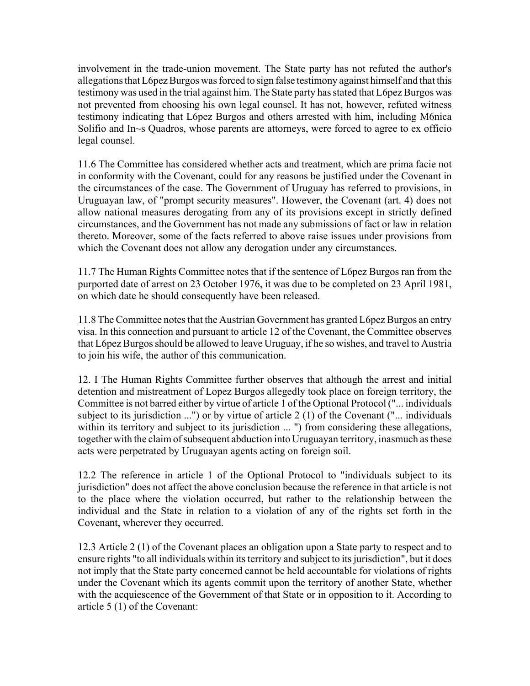involvement in the trade-union movement. The State party has not refuted the author's allegations that L6pez Burgos was forced to sign false testimony against himself and that this testimony was used in the trial against him. The State party has stated that L6pez Burgos was not prevented from choosing his own legal counsel. It has not, however, refuted witness testimony indicating that L6pez Burgos and others arrested with him, including M6nica Solifio and In~s Quadros, whose parents are attorneys, were forced to agree to ex officio legal counsel.

11.6 The Committee has considered whether acts and treatment, which are prima facie not in conformity with the Covenant, could for any reasons be justified under the Covenant in the circumstances of the case. The Government of Uruguay has referred to provisions, in Uruguayan law, of "prompt security measures". However, the Covenant (art. 4) does not allow national measures derogating from any of its provisions except in strictly defined circumstances, and the Government has not made any submissions of fact or law in relation thereto. Moreover, some of the facts referred to above raise issues under provisions from which the Covenant does not allow any derogation under any circumstances.

11.7 The Human Rights Committee notes that if the sentence of L6pez Burgos ran from the purported date of arrest on 23 October 1976, it was due to be completed on 23 April 1981, on which date he should consequently have been released.

11.8 The Committee notes that the Austrian Government has granted L6pez Burgos an entry visa. In this connection and pursuant to article 12 of the Covenant, the Committee observes that L6pez Burgos should be allowed to leave Uruguay, if he so wishes, and travel to Austria to join his wife, the author of this communication.

12. I The Human Rights Committee further observes that although the arrest and initial detention and mistreatment of Lopez Burgos allegedly took place on foreign territory, the Committee is not barred either by virtue of article 1 of the Optional Protocol ("... individuals subject to its jurisdiction ...") or by virtue of article 2 (1) of the Covenant ("... individuals within its territory and subject to its jurisdiction ... ") from considering these allegations, together with the claim of subsequent abduction into Uruguayan territory, inasmuch as these acts were perpetrated by Uruguayan agents acting on foreign soil.

12.2 The reference in article 1 of the Optional Protocol to "individuals subject to its jurisdiction" does not affect the above conclusion because the reference in that article is not to the place where the violation occurred, but rather to the relationship between the individual and the State in relation to a violation of any of the rights set forth in the Covenant, wherever they occurred.

12.3 Article 2 (1) of the Covenant places an obligation upon a State party to respect and to ensure rights "to all individuals within its territory and subject to its jurisdiction", but it does not imply that the State party concerned cannot be held accountable for violations of rights under the Covenant which its agents commit upon the territory of another State, whether with the acquiescence of the Government of that State or in opposition to it. According to article 5 (1) of the Covenant: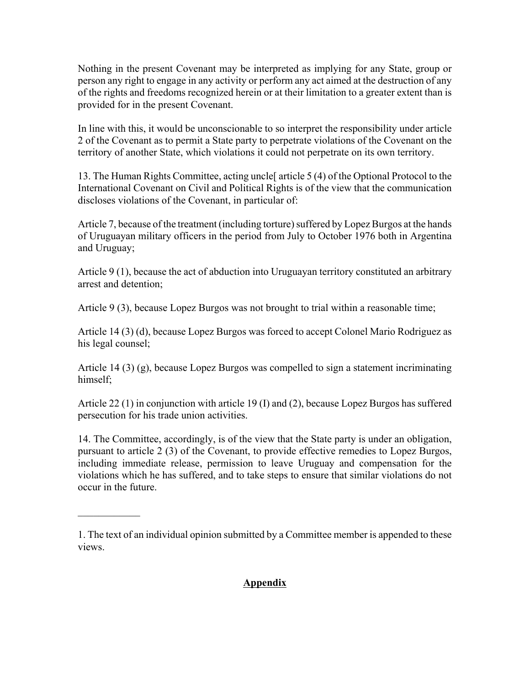Nothing in the present Covenant may be interpreted as implying for any State, group or person any right to engage in any activity or perform any act aimed at the destruction of any of the rights and freedoms recognized herein or at their limitation to a greater extent than is provided for in the present Covenant.

In line with this, it would be unconscionable to so interpret the responsibility under article 2 of the Covenant as to permit a State party to perpetrate violations of the Covenant on the territory of another State, which violations it could not perpetrate on its own territory.

13. The Human Rights Committee, acting uncle[ article 5 (4) of the Optional Protocol to the International Covenant on Civil and Political Rights is of the view that the communication discloses violations of the Covenant, in particular of:

Article 7, because of the treatment (including torture) suffered by Lopez Burgos at the hands of Uruguayan military officers in the period from July to October 1976 both in Argentina and Uruguay;

Article 9 (1), because the act of abduction into Uruguayan territory constituted an arbitrary arrest and detention;

Article 9 (3), because Lopez Burgos was not brought to trial within a reasonable time;

Article 14 (3) (d), because Lopez Burgos was forced to accept Colonel Mario Rodriguez as his legal counsel;

Article 14 (3) (g), because Lopez Burgos was compelled to sign a statement incriminating himself;

Article 22 (1) in conjunction with article 19 (I) and (2), because Lopez Burgos has suffered persecution for his trade union activities.

14. The Committee, accordingly, is of the view that the State party is under an obligation, pursuant to article 2 (3) of the Covenant, to provide effective remedies to Lopez Burgos, including immediate release, permission to leave Uruguay and compensation for the violations which he has suffered, and to take steps to ensure that similar violations do not occur in the future.

 $\mathcal{L}_\text{max}$ 

## **Appendix**

<sup>1.</sup> The text of an individual opinion submitted by a Committee member is appended to these views.